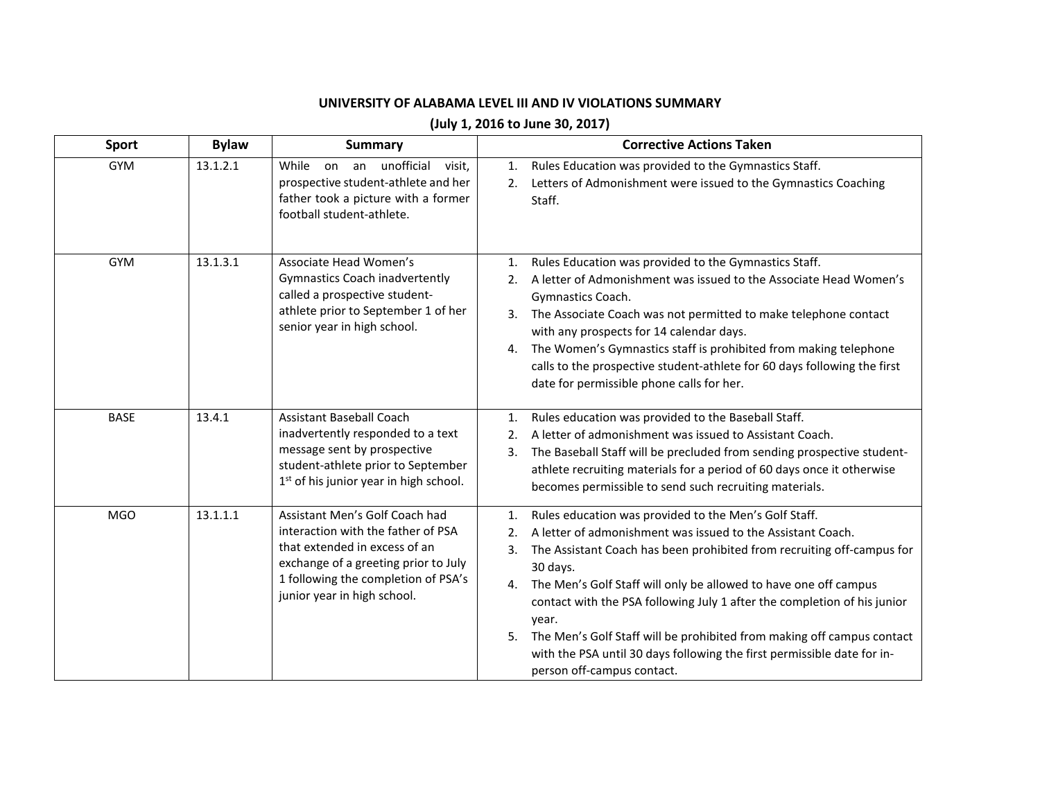## **UNIVERSITY OF ALABAMA LEVEL III AND IV VIOLATIONS SUMMARY**

## **(July 1, 2016 to June 30, 2017)**

| Sport       | <b>Bylaw</b> | <b>Summary</b>                                                                                                                                                                                                      | <b>Corrective Actions Taken</b>                                                                                                                                                                                                                                                                                                                                                                                                                                                                                                                                                                  |
|-------------|--------------|---------------------------------------------------------------------------------------------------------------------------------------------------------------------------------------------------------------------|--------------------------------------------------------------------------------------------------------------------------------------------------------------------------------------------------------------------------------------------------------------------------------------------------------------------------------------------------------------------------------------------------------------------------------------------------------------------------------------------------------------------------------------------------------------------------------------------------|
| <b>GYM</b>  | 13.1.2.1     | unofficial<br>While<br>on an<br>visit,<br>prospective student-athlete and her<br>father took a picture with a former<br>football student-athlete.                                                                   | Rules Education was provided to the Gymnastics Staff.<br>$\mathbf{1}$ .<br>Letters of Admonishment were issued to the Gymnastics Coaching<br>2.<br>Staff.                                                                                                                                                                                                                                                                                                                                                                                                                                        |
| <b>GYM</b>  | 13.1.3.1     | Associate Head Women's<br><b>Gymnastics Coach inadvertently</b><br>called a prospective student-<br>athlete prior to September 1 of her<br>senior year in high school.                                              | Rules Education was provided to the Gymnastics Staff.<br>1.<br>A letter of Admonishment was issued to the Associate Head Women's<br>2.<br>Gymnastics Coach.<br>3. The Associate Coach was not permitted to make telephone contact<br>with any prospects for 14 calendar days.<br>The Women's Gymnastics staff is prohibited from making telephone<br>4.<br>calls to the prospective student-athlete for 60 days following the first<br>date for permissible phone calls for her.                                                                                                                 |
| <b>BASE</b> | 13.4.1       | <b>Assistant Baseball Coach</b><br>inadvertently responded to a text<br>message sent by prospective<br>student-athlete prior to September<br>$1st$ of his junior year in high school.                               | Rules education was provided to the Baseball Staff.<br>$\mathbf{1}$ .<br>A letter of admonishment was issued to Assistant Coach.<br>2.<br>3.<br>The Baseball Staff will be precluded from sending prospective student-<br>athlete recruiting materials for a period of 60 days once it otherwise<br>becomes permissible to send such recruiting materials.                                                                                                                                                                                                                                       |
| <b>MGO</b>  | 13.1.1.1     | Assistant Men's Golf Coach had<br>interaction with the father of PSA<br>that extended in excess of an<br>exchange of a greeting prior to July<br>1 following the completion of PSA's<br>junior year in high school. | Rules education was provided to the Men's Golf Staff.<br>$\mathbf{1}$ .<br>A letter of admonishment was issued to the Assistant Coach.<br>2.<br>The Assistant Coach has been prohibited from recruiting off-campus for<br>3.<br>30 days.<br>The Men's Golf Staff will only be allowed to have one off campus<br>4.<br>contact with the PSA following July 1 after the completion of his junior<br>year.<br>The Men's Golf Staff will be prohibited from making off campus contact<br>5.<br>with the PSA until 30 days following the first permissible date for in-<br>person off-campus contact. |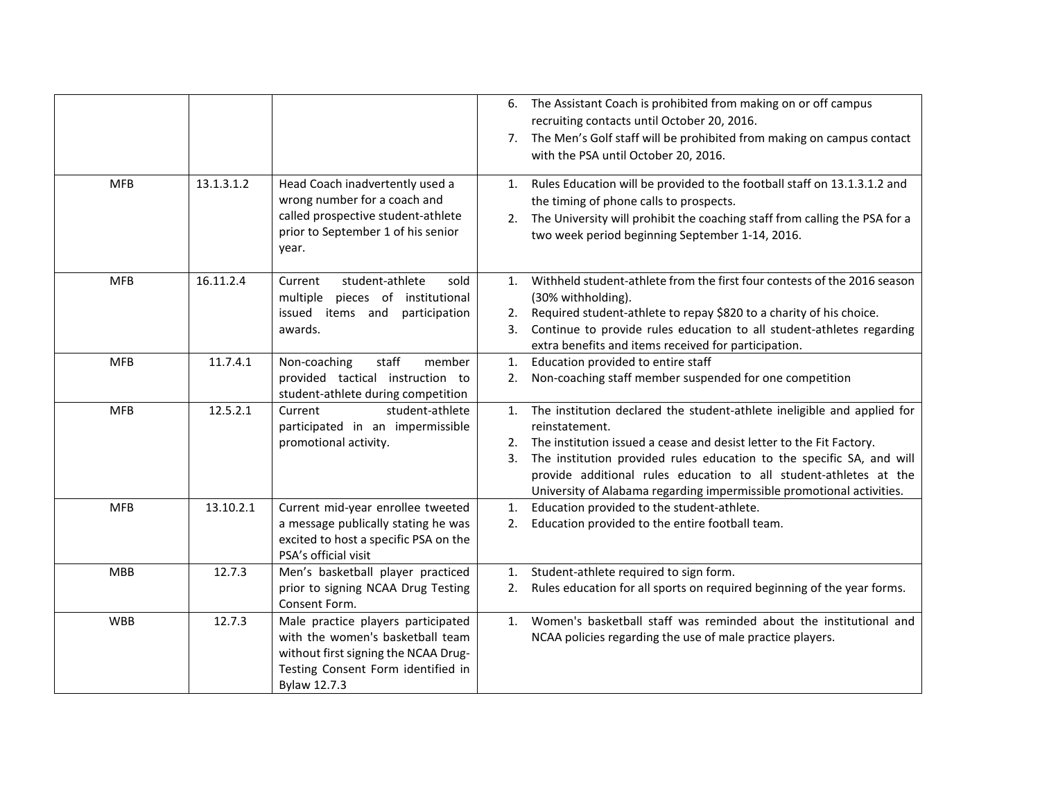|            |            |                                                                                                                                                                      | 6. The Assistant Coach is prohibited from making on or off campus<br>recruiting contacts until October 20, 2016.<br>7. The Men's Golf staff will be prohibited from making on campus contact<br>with the PSA until October 20, 2016.                                                                                                                                                                    |
|------------|------------|----------------------------------------------------------------------------------------------------------------------------------------------------------------------|---------------------------------------------------------------------------------------------------------------------------------------------------------------------------------------------------------------------------------------------------------------------------------------------------------------------------------------------------------------------------------------------------------|
| <b>MFB</b> | 13.1.3.1.2 | Head Coach inadvertently used a<br>wrong number for a coach and<br>called prospective student-athlete<br>prior to September 1 of his senior<br>year.                 | Rules Education will be provided to the football staff on 13.1.3.1.2 and<br>1.<br>the timing of phone calls to prospects.<br>The University will prohibit the coaching staff from calling the PSA for a<br>2.<br>two week period beginning September 1-14, 2016.                                                                                                                                        |
| <b>MFB</b> | 16.11.2.4  | student-athlete<br>Current<br>sold<br>pieces of institutional<br>multiple<br>issued items and participation<br>awards.                                               | Withheld student-athlete from the first four contests of the 2016 season<br>1.<br>(30% withholding).<br>2. Required student-athlete to repay \$820 to a charity of his choice.<br>Continue to provide rules education to all student-athletes regarding<br>3.<br>extra benefits and items received for participation.                                                                                   |
| <b>MFB</b> | 11.7.4.1   | staff<br>Non-coaching<br>member<br>provided tactical instruction to<br>student-athlete during competition                                                            | Education provided to entire staff<br>1.<br>Non-coaching staff member suspended for one competition<br>2.                                                                                                                                                                                                                                                                                               |
| <b>MFB</b> | 12.5.2.1   | student-athlete<br>Current<br>participated in an impermissible<br>promotional activity.                                                                              | The institution declared the student-athlete ineligible and applied for<br>1.<br>reinstatement.<br>2. The institution issued a cease and desist letter to the Fit Factory.<br>The institution provided rules education to the specific SA, and will<br>3.<br>provide additional rules education to all student-athletes at the<br>University of Alabama regarding impermissible promotional activities. |
| <b>MFB</b> | 13.10.2.1  | Current mid-year enrollee tweeted<br>a message publically stating he was<br>excited to host a specific PSA on the<br>PSA's official visit                            | Education provided to the student-athlete.<br>1.<br>Education provided to the entire football team.<br>2.                                                                                                                                                                                                                                                                                               |
| <b>MBB</b> | 12.7.3     | Men's basketball player practiced<br>prior to signing NCAA Drug Testing<br>Consent Form.                                                                             | Student-athlete required to sign form.<br>1.<br>Rules education for all sports on required beginning of the year forms.<br>2.                                                                                                                                                                                                                                                                           |
| <b>WBB</b> | 12.7.3     | Male practice players participated<br>with the women's basketball team<br>without first signing the NCAA Drug-<br>Testing Consent Form identified in<br>Bylaw 12.7.3 | Women's basketball staff was reminded about the institutional and<br>1.<br>NCAA policies regarding the use of male practice players.                                                                                                                                                                                                                                                                    |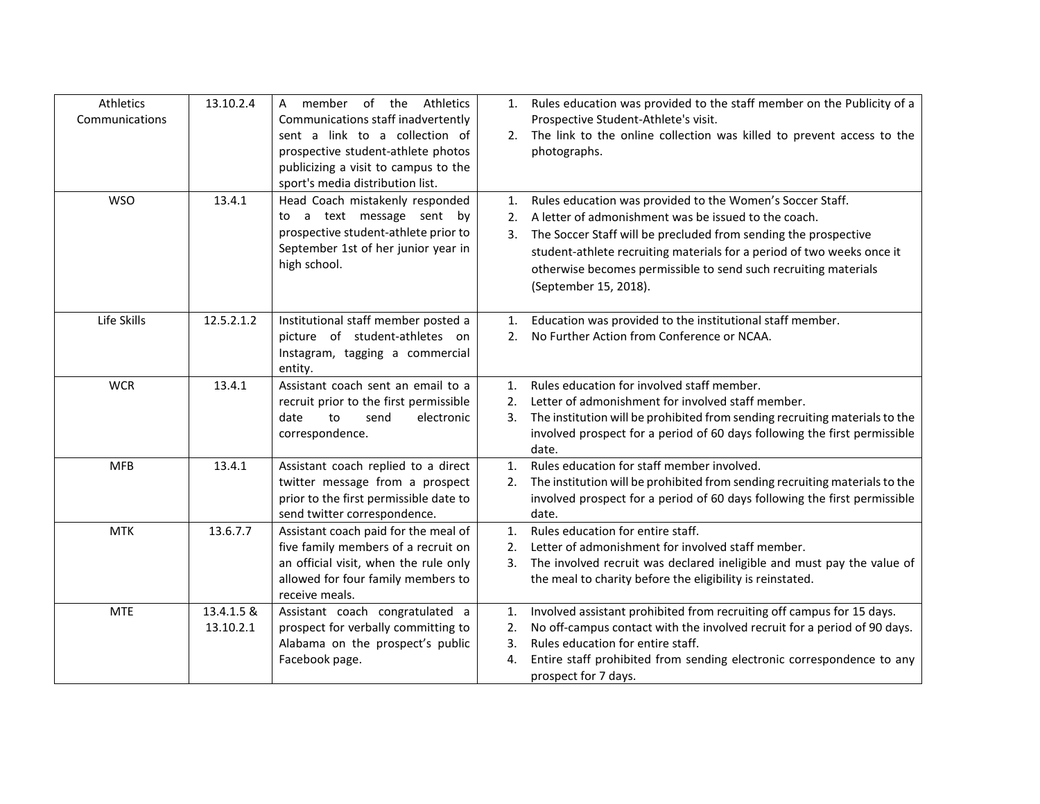| Athletics<br>Communications | 13.10.2.4               | the Athletics<br>member<br>of<br>A<br>Communications staff inadvertently<br>sent a link to a collection of<br>prospective student-athlete photos                             |                              | 1. Rules education was provided to the staff member on the Publicity of a<br>Prospective Student-Athlete's visit.<br>2. The link to the online collection was killed to prevent access to the<br>photographs.                                                                                                                                              |
|-----------------------------|-------------------------|------------------------------------------------------------------------------------------------------------------------------------------------------------------------------|------------------------------|------------------------------------------------------------------------------------------------------------------------------------------------------------------------------------------------------------------------------------------------------------------------------------------------------------------------------------------------------------|
|                             |                         | publicizing a visit to campus to the<br>sport's media distribution list.                                                                                                     |                              |                                                                                                                                                                                                                                                                                                                                                            |
| <b>WSO</b>                  | 13.4.1                  | Head Coach mistakenly responded<br>to a text message sent by<br>prospective student-athlete prior to<br>September 1st of her junior year in<br>high school.                  | 1.<br>$\mathfrak{D}$ .<br>3. | Rules education was provided to the Women's Soccer Staff.<br>A letter of admonishment was be issued to the coach.<br>The Soccer Staff will be precluded from sending the prospective<br>student-athlete recruiting materials for a period of two weeks once it<br>otherwise becomes permissible to send such recruiting materials<br>(September 15, 2018). |
| Life Skills                 | 12.5.2.1.2              | Institutional staff member posted a<br>picture of student-athletes on<br>Instagram, tagging a commercial<br>entity.                                                          | 1.<br>2.                     | Education was provided to the institutional staff member.<br>No Further Action from Conference or NCAA.                                                                                                                                                                                                                                                    |
| <b>WCR</b>                  | 13.4.1                  | Assistant coach sent an email to a<br>recruit prior to the first permissible<br>to<br>send<br>date<br>electronic<br>correspondence.                                          | 1.<br>$\mathfrak{D}$ .<br>3. | Rules education for involved staff member.<br>Letter of admonishment for involved staff member.<br>The institution will be prohibited from sending recruiting materials to the<br>involved prospect for a period of 60 days following the first permissible<br>date.                                                                                       |
| <b>MFB</b>                  | 13.4.1                  | Assistant coach replied to a direct<br>twitter message from a prospect<br>prior to the first permissible date to<br>send twitter correspondence.                             | 1.<br>2.                     | Rules education for staff member involved.<br>The institution will be prohibited from sending recruiting materials to the<br>involved prospect for a period of 60 days following the first permissible<br>date.                                                                                                                                            |
| <b>MTK</b>                  | 13.6.7.7                | Assistant coach paid for the meal of<br>five family members of a recruit on<br>an official visit, when the rule only<br>allowed for four family members to<br>receive meals. | 1.<br>2.<br>3.               | Rules education for entire staff.<br>Letter of admonishment for involved staff member.<br>The involved recruit was declared ineligible and must pay the value of<br>the meal to charity before the eligibility is reinstated.                                                                                                                              |
| <b>MTE</b>                  | 13.4.1.5 &<br>13.10.2.1 | Assistant coach congratulated a<br>prospect for verbally committing to<br>Alabama on the prospect's public<br>Facebook page.                                                 | 1.<br>2.<br>3.<br>4.         | Involved assistant prohibited from recruiting off campus for 15 days.<br>No off-campus contact with the involved recruit for a period of 90 days.<br>Rules education for entire staff.<br>Entire staff prohibited from sending electronic correspondence to any<br>prospect for 7 days.                                                                    |